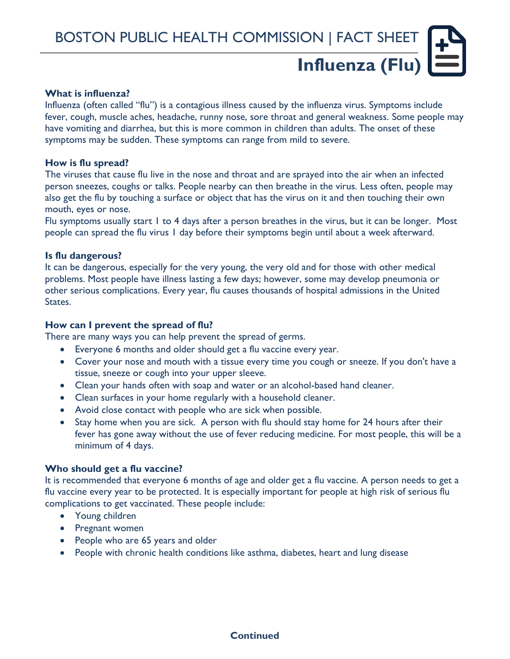# **Influenza (Flu)**

#### **What is influenza?**

Influenza (often called "flu") is a contagious illness caused by the influenza virus. Symptoms include fever, cough, muscle aches, headache, runny nose, sore throat and general weakness. Some people may have vomiting and diarrhea, but this is more common in children than adults. The onset of these symptoms may be sudden. These symptoms can range from mild to severe.

#### **How is flu spread?**

The viruses that cause flu live in the nose and throat and are sprayed into the air when an infected person sneezes, coughs or talks. People nearby can then breathe in the virus. Less often, people may also get the flu by touching a surface or object that has the virus on it and then touching their own mouth, eyes or nose.

Flu symptoms usually start 1 to 4 days after a person breathes in the virus, but it can be longer. Most people can spread the flu virus 1 day before their symptoms begin until about a week afterward.

#### **Is flu dangerous?**

It can be dangerous, especially for the very young, the very old and for those with other medical problems. Most people have illness lasting a few days; however, some may develop pneumonia or other serious complications. Every year, flu causes thousands of hospital admissions in the United States.

#### **How can I prevent the spread of flu?**

There are many ways you can help prevent the spread of germs.

- Everyone 6 months and older should get a flu vaccine every year.
- Cover your nose and mouth with a tissue every time you cough or sneeze. If you don't have a tissue, sneeze or cough into your upper sleeve.
- Clean your hands often with soap and water or an alcohol-based hand cleaner.
- Clean surfaces in your home regularly with a household cleaner.
- Avoid close contact with people who are sick when possible.
- Stay home when you are sick. A person with flu should stay home for 24 hours after their fever has gone away without the use of fever reducing medicine. For most people, this will be a minimum of 4 days.

#### **Who should get a flu vaccine?**

It is recommended that everyone 6 months of age and older get a flu vaccine. A person needs to get a flu vaccine every year to be protected. It is especially important for people at high risk of serious flu complications to get vaccinated. These people include:

- Young children
- Pregnant women
- People who are 65 years and older
- People with chronic health conditions like asthma, diabetes, heart and lung disease

**Continued**